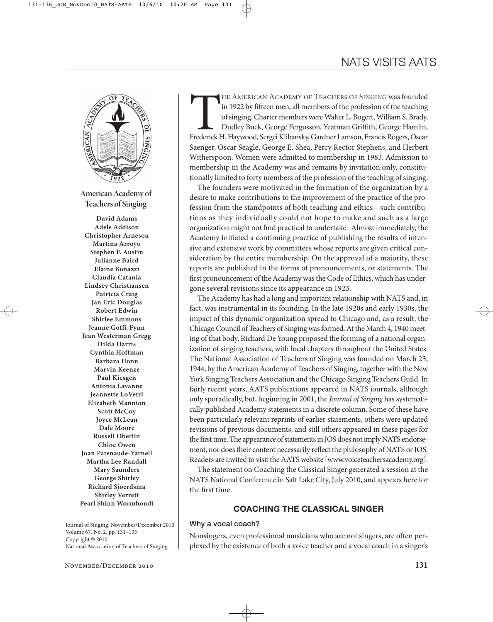

**American Academy of Teachers of Singing**

**David Adams Adele Addison Christopher Arneson Martina Arroyo Stephen F. Austin Julianne Baird Elaine Bonazzi Claudia Catania Lindsey Christiansen Patricia Craig Jan Eric Douglas Robert Edwin Shirlee Emmons Jeanne Goffi-Fynn Jean Westerman Gregg Hilda Harris Cynthia Hoffman Barbara Honn Marvin Keenze Paul Kiesgen Antonia Lavanne Jeannette LoVetri Elizabeth Mannion Scott McCoy Joyce McLean Dale Moore Russell Oberlin Chloe Owen Joan Patenaude-Yarnell Martha Lee Randall Mary Saunders George Shirley Richard Sjoerdsma Shirley Verrett Pearl Shinn Wormhoudt**

Journal of Singing, November/December 2010 Volume 67, No. 2, pp. 131–135 Copyright © 2010 National Association of Teachers of Singing

THE AMERICAN ACADEMY OF TEACHERS OF SINGING was founded<br>in 1922 by fifteen men, all members of the profession of the teaching<br>of singing. Charter members were Walter L. Bogert, William S. Brady,<br>Dudley Buck, George Ferguss in 1922 by fifteen men, all members of the profession of the teaching of singing. Charter members were Walter L. Bogert, William S. Brady, Dudley Buck, George Fergusson, Yeatman Griffith, George Hamlin, Saenger, Oscar Seagle, George E. Shea, Percy Rector Stephens, and Herbert Witherspoon. Women were admitted to membership in 1983. Admission to membership in the Academy was and remains by invitation only, constitutionally limited to forty members of the profession of the teaching of singing.

The founders were motivated in the formation of the organization by a desire to make contributions to the improvement of the practice of the profession from the standpoints of both teaching and ethics—such contributions as they individually could not hope to make and such as a large organization might not find practical to undertake. Almost immediately, the Academy initiated a continuing practice of publishing the results of intensive and extensive work by committees whose reports are given critical consideration by the entire membership. On the approval of a majority, these reports are published in the forms of pronouncements, or statements. The first pronouncement of the Academy was the Code of Ethics, which has undergone several revisions since its appearance in 1923.

The Academy has had a long and important relationship with NATS and, in fact, was instrumental in its founding. In the late 1920s and early 1930s, the impact of this dynamic organization spread to Chicago and, as a result, the Chicago Council of Teachers of Singing was formed. At the March 4, 1940 meeting of that body, Richard De Young proposed the forming of a national organization of singing teachers, with local chapters throughout the United States. The National Association of Teachers of Singing was founded on March 23, 1944, by the American Academy of Teachers of Singing, together with the New York Singing Teachers Association and the Chicago Singing Teachers Guild. In fairly recent years, AATS publications appeared in NATS journals, although only sporadically, but, beginning in 2001, the *Journal of Singing* has systematically published Academy statements in a discrete column. Some of these have been particularly relevant reprints of earlier statements, others were updated revisions of previous documents, and still others appeared in these pages for the first time. The appearance of statements in JOS does not imply NATS endorsement, nor does their content necessarily reflect the philosophy of NATS or JOS. Readers are invited to visit the AATS website [www.voiceteachersacademy.org].

The statement on Coaching the Classical Singer generated a session at the NATS National Conference in Salt Lake City, July 2010, and appears here for the first time.

## **COACHING THE CLASSICAL SINGER**

#### **Why a vocal coach?**

Nonsingers, even professional musicians who are not singers, are often perplexed by the existence of both a voice teacher and a vocal coach in a singer's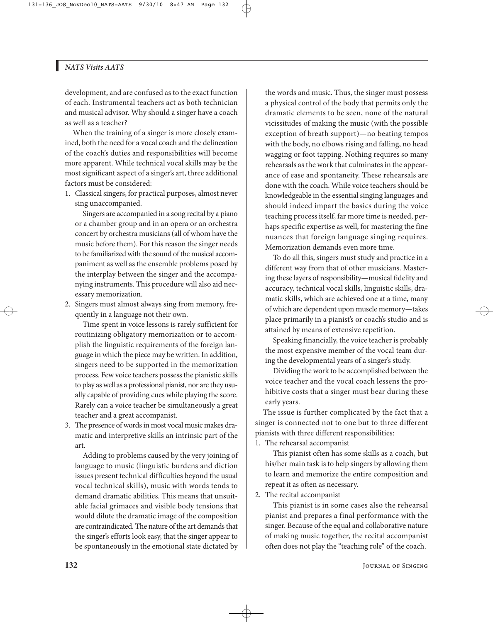### *NATS Visits AATS*

Ш

development, and are confused as to the exact function of each. Instrumental teachers act as both technician and musical advisor. Why should a singer have a coach as well as a teacher?

When the training of a singer is more closely examined, both the need for a vocal coach and the delineation of the coach's duties and responsibilities will become more apparent. While technical vocal skills may be the most significant aspect of a singer's art, three additional factors must be considered:

1. Classical singers, for practical purposes, almost never sing unaccompanied.

Singers are accompanied in a song recital by a piano or a chamber group and in an opera or an orchestra concert by orchestra musicians (all of whom have the music before them). For this reason the singer needs to be familiarized with the sound of the musical accompaniment as well as the ensemble problems posed by the interplay between the singer and the accompanying instruments. This procedure will also aid necessary memorization.

2. Singers must almost always sing from memory, frequently in a language not their own.

Time spent in voice lessons is rarely sufficient for routinizing obligatory memorization or to accomplish the linguistic requirements of the foreign language in which the piece may be written. In addition, singers need to be supported in the memorization process. Few voice teachers possess the pianistic skills to play as well as a professional pianist, nor are they usually capable of providing cues while playing the score. Rarely can a voice teacher be simultaneously a great teacher and a great accompanist.

3. The presence of words in most vocal music makes dramatic and interpretive skills an intrinsic part of the art.

Adding to problems caused by the very joining of language to music (linguistic burdens and diction issues present technical difficulties beyond the usual vocal technical skills), music with words tends to demand dramatic abilities. This means that unsuitable facial grimaces and visible body tensions that would dilute the dramatic image of the composition are contraindicated. The nature of the art demands that the singer's efforts look easy, that the singer appear to be spontaneously in the emotional state dictated by

the words and music. Thus, the singer must possess a physical control of the body that permits only the dramatic elements to be seen, none of the natural vicissitudes of making the music (with the possible exception of breath support)—no beating tempos with the body, no elbows rising and falling, no head wagging or foot tapping. Nothing requires so many rehearsals as the work that culminates in the appearance of ease and spontaneity. These rehearsals are done with the coach. While voice teachers should be knowledgeable in the essential singing languages and should indeed impart the basics during the voice teaching process itself, far more time is needed, perhaps specific expertise as well, for mastering the fine nuances that foreign language singing requires. Memorization demands even more time.

To do all this, singers must study and practice in a different way from that of other musicians. Master ing these layers of responsibility—musical fidelity and accuracy, technical vocal skills, linguistic skills, dramatic skills, which are achieved one at a time, many of which are dependent upon muscle memory—takes place primarily in a pianist's or coach's studio and is attained by means of extensive repetition.

Speaking financially, the voice teacher is probably the most expensive member of the vocal team during the developmental years of a singer's study.

Dividing the work to be accomplished between the voice teacher and the vocal coach lessens the prohibitive costs that a singer must bear during these early years.

The issue is further complicated by the fact that a singer is connected not to one but to three different pianists with three different responsibilities:

1. The rehearsal accompanist

This pianist often has some skills as a coach, but his/her main task is to help singers by allowing them to learn and memorize the entire composition and repeat it as often as necessary.

2. The recital accompanist

This pianist is in some cases also the rehearsal pianist and prepares a final performance with the singer. Because of the equal and collaborative nature of making music together, the recital accompanist often does not play the "teaching role" of the coach.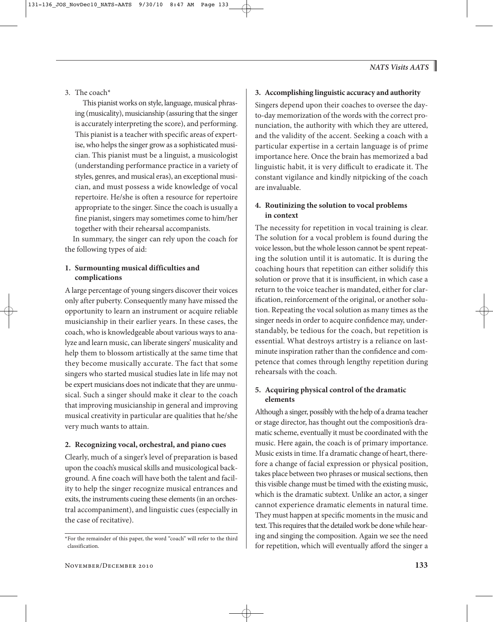3. The coach\*

This pianist works on style, language, musical phrasing (musicality), musicianship (assuring that the singer is accurately interpreting the score), and performing. This pianist is a teacher with specific areas of expertise, who helps the singer grow as a sophisticated musician. This pianist must be a linguist, a musicologist (understanding performance practice in a variety of styles, genres, and musical eras), an exceptional musician, and must possess a wide knowledge of vocal repertoire. He/she is often a resource for repertoire appropriate to the singer. Since the coach is usually a fine pianist, singers may sometimes come to him/her together with their rehearsal accompanists.

In summary, the singer can rely upon the coach for the following types of aid:

## **1. Surmounting musical difficulties and complications**

A large percentage of young singers discover their voices only after puberty. Consequently many have missed the opportunity to learn an instrument or acquire reliable musicianship in their earlier years. In these cases, the coach, who is knowledgeable about various ways to analyze and learn music, can liberate singers' musicality and help them to blossom artistically at the same time that they become musically accurate. The fact that some singers who started musical studies late in life may not be expert musicians does not indicate that they are unmusical. Such a singer should make it clear to the coach that improving musicianship in general and improving musical creativity in particular are qualities that he/she very much wants to attain.

## **2. Recognizing vocal, orchestral, and piano cues**

Clearly, much of a singer's level of preparation is based upon the coach's musical skills and musicological background. A fine coach will have both the talent and facility to help the singer recognize musical entrances and exits, the instruments cueing these elements (in an orchestral accompaniment), and linguistic cues (especially in the case of recitative).

# **3. Accomplishing linguistic accuracy and authority**

Singers depend upon their coaches to oversee the dayto-day memorization of the words with the correct pronunciation, the authority with which they are uttered, and the validity of the accent. Seeking a coach with a particular expertise in a certain language is of prime importance here. Once the brain has memorized a bad linguistic habit, it is very difficult to eradicate it. The constant vigilance and kindly nitpicking of the coach are invaluable.

## **4. Routinizing the solution to vocal problems in context**

The necessity for repetition in vocal training is clear. The solution for a vocal problem is found during the voice lesson, but the whole lesson cannot be spent repeating the solution until it is automatic. It is during the coaching hours that repetition can either solidify this solution or prove that it is insufficient, in which case a return to the voice teacher is mandated, either for clarification, reinforcement of the original, or another solution. Repeating the vocal solution as many times as the singer needs in order to acquire confidence may, understandably, be tedious for the coach, but repetition is essential. What destroys artistry is a reliance on lastminute inspiration rather than the confidence and competence that comes through lengthy repetition during rehearsals with the coach.

## **5. Acquiring physical control of the dramatic elements**

Although a singer, possibly with the help of a drama teacher or stage director, has thought out the composition's dramatic scheme, eventually it must be coordinated with the music. Here again, the coach is of primary importance. Music exists in time. If a dramatic change of heart, therefore a change of facial expression or physical position, takes place between two phrases or musical sections, then this visible change must be timed with the existing music, which is the dramatic subtext. Unlike an actor, a singer cannot experience dramatic elements in natural time. They must happen at specific moments in the music and text. This requires that the detailed work be done while hearing and singing the composition. Again we see the need for repetition, which will eventually afford the singer a

<sup>\*</sup>For the remainder of this paper, the word "coach" will refer to the third classification.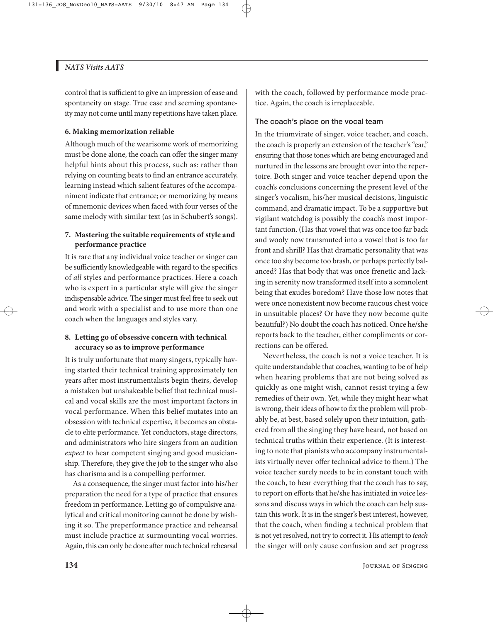## *NATS Visits AATS*

ı

control that is sufficient to give an impression of ease and spontaneity on stage. True ease and seeming spontaneity may not come until many repetitions have taken place.

#### **6. Making memorization reliable**

Although much of the wearisome work of memorizing must be done alone, the coach can offer the singer many helpful hints about this process, such as: rather than relying on counting beats to find an entrance accurately, learning instead which salient features of the accompaniment indicate that entrance; or memorizing by means of mnemonic devices when faced with four verses of the same melody with similar text (as in Schubert's songs).

## **7. Mastering the suitable requirements of style and performance practice**

It is rare that any individual voice teacher or singer can be sufficiently knowledgeable with regard to the specifics of *all* styles and performance practices. Here a coach who is expert in a particular style will give the singer indispensable advice. The singer must feel free to seek out and work with a specialist and to use more than one coach when the languages and styles vary.

#### **8. Letting go of obsessive concern with technical accuracy so as to improve performance**

It is truly unfortunate that many singers, typically having started their technical training approximately ten years after most instrumentalists begin theirs, develop a mistaken but unshakeable belief that technical musical and vocal skills are the most important factors in vocal performance. When this belief mutates into an obsession with technical expertise, it becomes an obstacle to elite performance. Yet conductors, stage directors, and administrators who hire singers from an audition *expect* to hear competent singing and good musicianship. Therefore, they give the job to the singer who also has charisma and is a compelling performer.

As a consequence, the singer must factor into his/her preparation the need for a type of practice that ensures freedom in performance. Letting go of compulsive analytical and critical monitoring cannot be done by wishing it so. The preperformance practice and rehearsal must include practice at surmounting vocal worries. Again, this can only be done after much technical rehearsal with the coach, followed by performance mode practice. Again, the coach is irreplaceable.

### **The coach's place on the vocal team**

In the triumvirate of singer, voice teacher, and coach, the coach is properly an extension of the teacher's "ear," ensuring that those tones which are being encouraged and nurtured in the lessons are brought over into the repertoire. Both singer and voice teacher depend upon the coach's conclusions concerning the present level of the singer's vocalism, his/her musical decisions, linguistic command, and dramatic impact. To be a supportive but vigilant watchdog is possibly the coach's most important function. (Has that vowel that was once too far back and wooly now transmuted into a vowel that is too far front and shrill? Has that dramatic personality that was once too shy become too brash, or perhaps perfectly balanced? Has that body that was once frenetic and lacking in serenity now transformed itself into a somnolent being that exudes boredom? Have those low notes that were once nonexistent now become raucous chest voice in unsuitable places? Or have they now become quite beautiful?) No doubt the coach has noticed. Once he/she reports back to the teacher, either compliments or corrections can be offered.

Nevertheless, the coach is not a voice teacher. It is quite understandable that coaches, wanting to be of help when hearing problems that are not being solved as quickly as one might wish, cannot resist trying a few remedies of their own. Yet, while they might hear what is wrong, their ideas of how to fix the problem will probably be, at best, based solely upon their intuition, gathered from all the singing they have heard, not based on technical truths within their experience. (It is interesting to note that pianists who accompany instrumentalists virtually never offer technical advice to them.) The voice teacher surely needs to be in constant touch with the coach, to hear everything that the coach has to say, to report on efforts that he/she has initiated in voice lessons and discuss ways in which the coach can help sustain this work. It is in the singer's best interest, however, that the coach, when finding a technical problem that is not yet resolved, not try to correct it. His attempt to *teach* the singer will only cause confusion and set progress